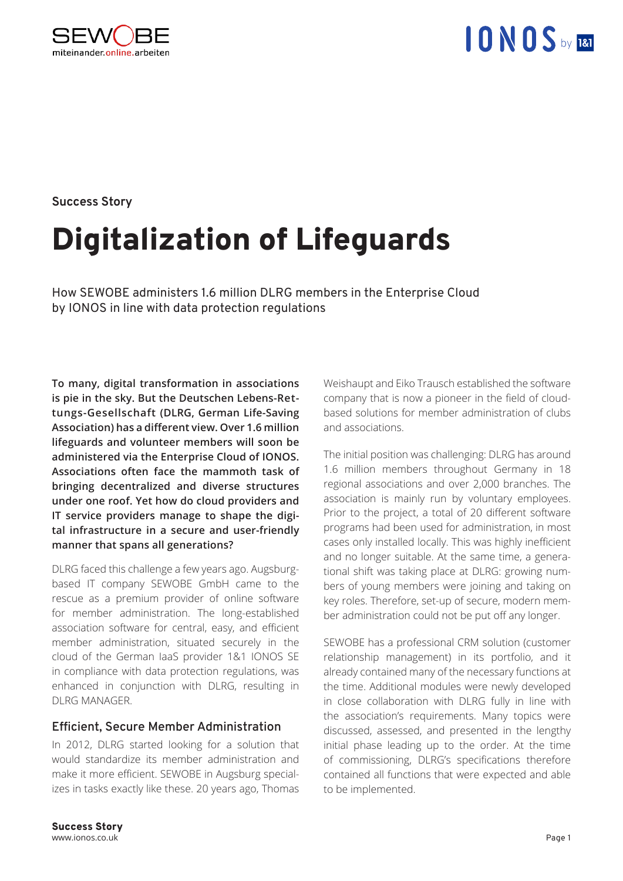

#### **Success Story**

# Digitalization of Lifeguards

How SEWOBE administers 1.6 million DLRG members in the Enterprise Cloud by IONOS in line with data protection regulations

**To many, digital transformation in associations is pie in the sky. But the Deutschen Lebens-Rettungs-Gesellschaft (DLRG, German Life-Saving Association) has a different view. Over 1.6 million lifeguards and volunteer members will soon be administered via the Enterprise Cloud of IONOS. Associations often face the mammoth task of bringing decentralized and diverse structures under one roof. Yet how do cloud providers and IT service providers manage to shape the digital infrastructure in a secure and user-friendly manner that spans all generations?**

DLRG faced this challenge a few years ago. Augsburgbased IT company SEWOBE GmbH came to the rescue as a premium provider of online software for member administration. The long-established association software for central, easy, and efficient member administration, situated securely in the cloud of the German IaaS provider 1&1 IONOS SE in compliance with data protection regulations, was enhanced in conjunction with DLRG, resulting in DI RG MANAGER.

#### **Efficient, Secure Member Administration**

In 2012, DLRG started looking for a solution that would standardize its member administration and make it more efficient. SEWOBE in Augsburg specializes in tasks exactly like these. 20 years ago, Thomas Weishaupt and Eiko Trausch established the software company that is now a pioneer in the field of cloudbased solutions for member administration of clubs and associations.

The initial position was challenging: DLRG has around 1.6 million members throughout Germany in 18 regional associations and over 2,000 branches. The association is mainly run by voluntary employees. Prior to the project, a total of 20 different software programs had been used for administration, in most cases only installed locally. This was highly inefficient and no longer suitable. At the same time, a generational shift was taking place at DLRG: growing numbers of young members were joining and taking on key roles. Therefore, set-up of secure, modern member administration could not be put off any longer.

SEWOBE has a professional CRM solution (customer relationship management) in its portfolio, and it already contained many of the necessary functions at the time. Additional modules were newly developed in close collaboration with DLRG fully in line with the association's requirements. Many topics were discussed, assessed, and presented in the lengthy initial phase leading up to the order. At the time of commissioning, DLRG's specifications therefore contained all functions that were expected and able to be implemented.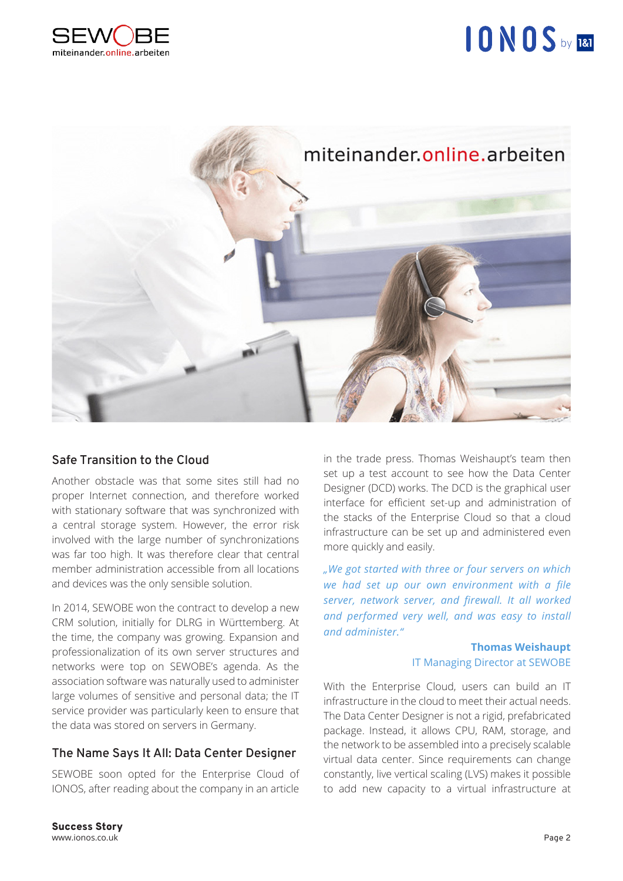



### **Safe Transition to the Cloud**

Another obstacle was that some sites still had no proper Internet connection, and therefore worked with stationary software that was synchronized with a central storage system. However, the error risk involved with the large number of synchronizations was far too high. It was therefore clear that central member administration accessible from all locations and devices was the only sensible solution.

In 2014, SEWOBE won the contract to develop a new CRM solution, initially for DLRG in Württemberg. At the time, the company was growing. Expansion and professionalization of its own server structures and networks were top on SEWOBE's agenda. As the association software was naturally used to administer large volumes of sensitive and personal data; the IT service provider was particularly keen to ensure that the data was stored on servers in Germany.

### **The Name Says It All: Data Center Designer**

SEWOBE soon opted for the Enterprise Cloud of IONOS, after reading about the company in an article

in the trade press. Thomas Weishaupt's team then set up a test account to see how the Data Center Designer (DCD) works. The DCD is the graphical user interface for efficient set-up and administration of the stacks of the Enterprise Cloud so that a cloud infrastructure can be set up and administered even more quickly and easily.

*"We got started with three or four servers on which we had set up our own environment with a file server, network server, and firewall. It all worked and performed very well, and was easy to install and administer."*

#### **Thomas Weishaupt**  IT Managing Director at SEWOBE

With the Enterprise Cloud, users can build an IT infrastructure in the cloud to meet their actual needs. The Data Center Designer is not a rigid, prefabricated package. Instead, it allows CPU, RAM, storage, and the network to be assembled into a precisely scalable virtual data center. Since requirements can change constantly, live vertical scaling (LVS) makes it possible to add new capacity to a virtual infrastructure at

Success Story www.ionos.co.uk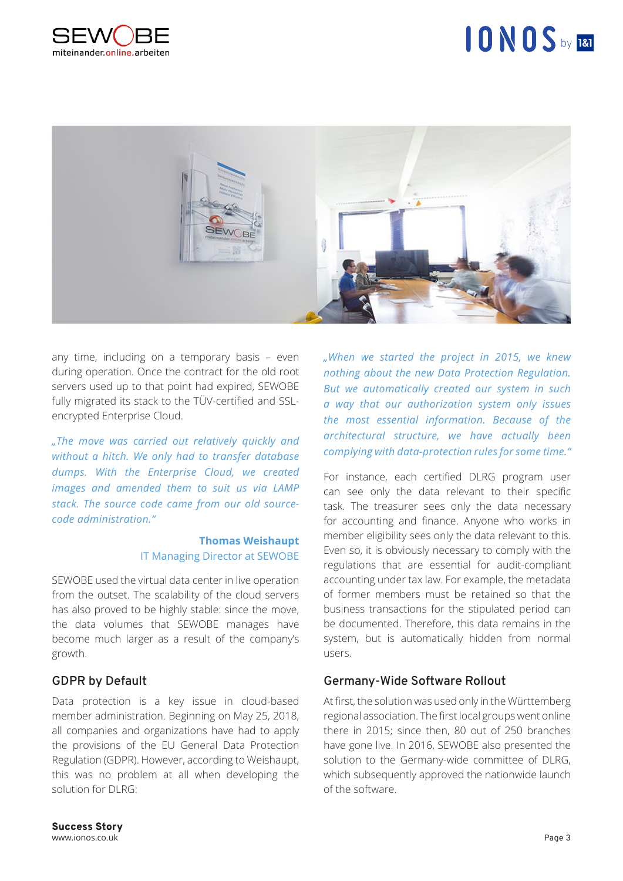



any time, including on a temporary basis – even during operation. Once the contract for the old root servers used up to that point had expired, SEWOBE fully migrated its stack to the TÜV-certified and SSLencrypted Enterprise Cloud.

*"The move was carried out relatively quickly and without a hitch. We only had to transfer database dumps. With the Enterprise Cloud, we created images and amended them to suit us via LAMP stack. The source code came from our old sourcecode administration."*

#### **Thomas Weishaupt**  IT Managing Director at SEWOBE

SEWOBE used the virtual data center in live operation from the outset. The scalability of the cloud servers has also proved to be highly stable: since the move, the data volumes that SEWOBE manages have become much larger as a result of the company's growth.

### **GDPR by Default**

Data protection is a key issue in cloud-based member administration. Beginning on May 25, 2018, all companies and organizations have had to apply the provisions of the EU General Data Protection Regulation (GDPR). However, according to Weishaupt, this was no problem at all when developing the solution for DLRG:

*"When we started the project in 2015, we knew nothing about the new Data Protection Regulation. But we automatically created our system in such a way that our authorization system only issues the most essential information. Because of the architectural structure, we have actually been complying with data-protection rules for some time."*

For instance, each certified DLRG program user can see only the data relevant to their specific task. The treasurer sees only the data necessary for accounting and finance. Anyone who works in member eligibility sees only the data relevant to this. Even so, it is obviously necessary to comply with the regulations that are essential for audit-compliant accounting under tax law. For example, the metadata of former members must be retained so that the business transactions for the stipulated period can be documented. Therefore, this data remains in the system, but is automatically hidden from normal users.

### **Germany-Wide Software Rollout**

At first, the solution was used only in the Württemberg regional association. The first local groups went online there in 2015; since then, 80 out of 250 branches have gone live. In 2016, SEWOBE also presented the solution to the Germany-wide committee of DLRG, which subsequently approved the nationwide launch of the software.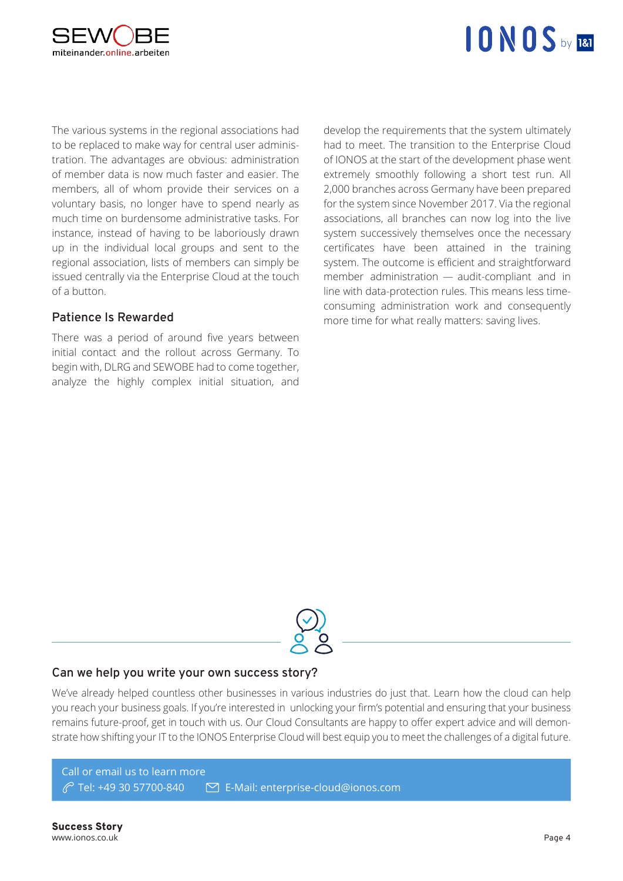

## $10 N0 S_{bV}$  181

The various systems in the regional associations had to be replaced to make way for central user administration. The advantages are obvious: administration of member data is now much faster and easier. The members, all of whom provide their services on a voluntary basis, no longer have to spend nearly as much time on burdensome administrative tasks. For instance, instead of having to be laboriously drawn up in the individual local groups and sent to the regional association, lists of members can simply be issued centrally via the Enterprise Cloud at the touch of a button.

### **Patience Is Rewarded**

There was a period of around five years between initial contact and the rollout across Germany. To begin with, DLRG and SEWOBE had to come together, analyze the highly complex initial situation, and develop the requirements that the system ultimately had to meet. The transition to the Enterprise Cloud of IONOS at the start of the development phase went extremely smoothly following a short test run. All 2,000 branches across Germany have been prepared for the system since November 2017. Via the regional associations, all branches can now log into the live system successively themselves once the necessary certificates have been attained in the training system. The outcome is efficient and straightforward member administration — audit-compliant and in line with data-protection rules. This means less timeconsuming administration work and consequently more time for what really matters: saving lives.



#### **Can we help you write your own success story?**

We've already helped countless other businesses in various industries do just that. Learn how the cloud can help you reach your business goals. If you're interested in unlocking your firm's potential and ensuring that your business remains future-proof, get in touch with us. Our Cloud Consultants are happy to offer expert advice and will demonstrate how shifting your IT to the IONOS Enterprise Cloud will best equip you to meet the challenges of a digital future.

Call or email us to learn more Tel: +49 30 57700-840 E-Mail: enterprise-cloud@ionos.com